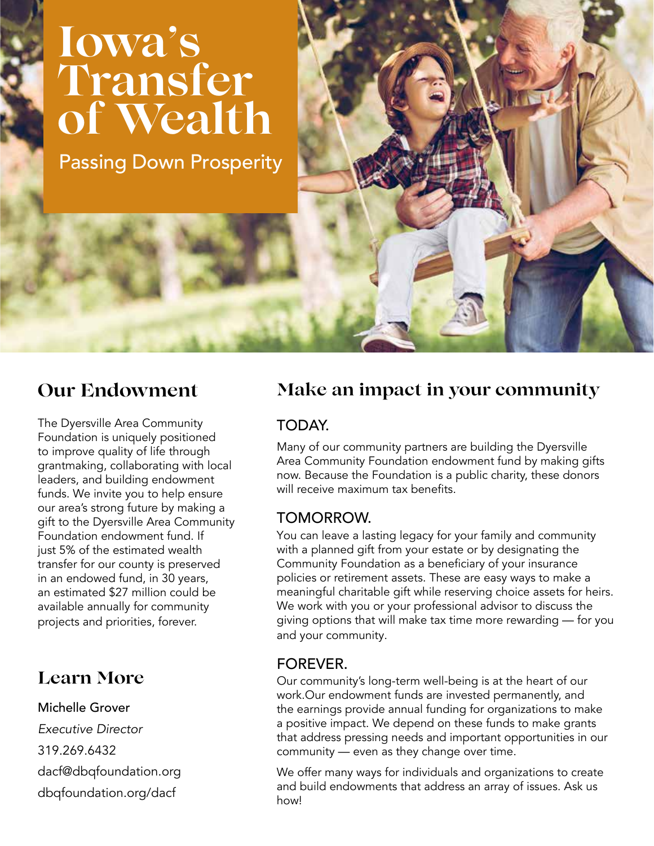## **Iowa's Transfer of Wealth**

Passing Down Prosperity

## **Our Endowment**

The Dyersville Area Community Foundation is uniquely positioned to improve quality of life through grantmaking, collaborating with local leaders, and building endowment funds. We invite you to help ensure our area's strong future by making a gift to the Dyersville Area Community Foundation endowment fund. If just 5% of the estimated wealth transfer for our county is preserved in an endowed fund, in 30 years, an estimated \$27 million could be available annually for community projects and priorities, forever.

### **Learn More**

Michelle Grover *Executive Director* 319.269.6432 dacf@dbqfoundation.org dbqfoundation.org/dacf

### **Make an impact in your community**

### TODAY.

Many of our community partners are building the Dyersville Area Community Foundation endowment fund by making gifts now. Because the Foundation is a public charity, these donors will receive maximum tax benefits.

### TOMORROW.

You can leave a lasting legacy for your family and community with a planned gift from your estate or by designating the Community Foundation as a beneficiary of your insurance policies or retirement assets. These are easy ways to make a meaningful charitable gift while reserving choice assets for heirs. We work with you or your professional advisor to discuss the giving options that will make tax time more rewarding — for you and your community.

### FOREVER.

Our community's long-term well-being is at the heart of our work.Our endowment funds are invested permanently, and the earnings provide annual funding for organizations to make a positive impact. We depend on these funds to make grants that address pressing needs and important opportunities in our community — even as they change over time.

We offer many ways for individuals and organizations to create and build endowments that address an array of issues. Ask us how!